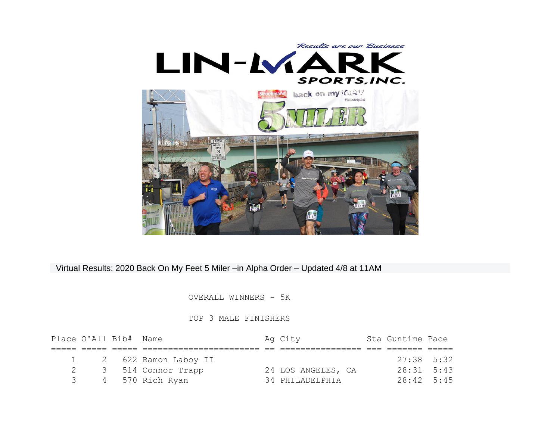

## Virtual Results: 2020 Back On My Feet 5 Miler –in Alpha Order – Updated 4/8 at 11AM

## OVERALL WINNERS - 5K

## TOP 3 MALE FINISHERS

| Place O'All Bib# Name |                        | Ag City            | Sta Guntime Pace |  |
|-----------------------|------------------------|--------------------|------------------|--|
|                       |                        |                    |                  |  |
|                       | 1 2 622 Ramon Laboy II |                    | $27:38$ 5:32     |  |
|                       | 3 514 Connor Trapp     | 24 LOS ANGELES, CA | $28:31$ 5:43     |  |
|                       | 4 570 Rich Ryan        | 34 PHILADELPHIA    | $28:42$ 5:45     |  |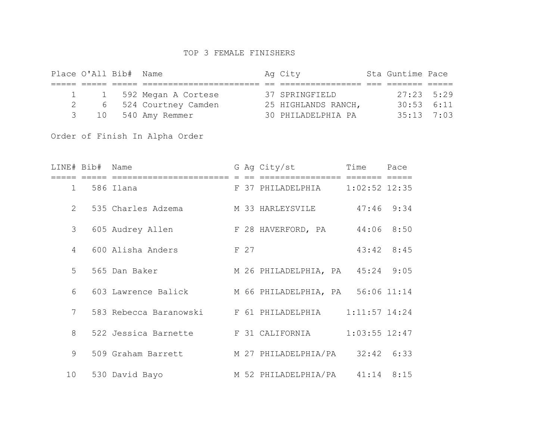## TOP 3 FEMALE FINISHERS

|   | Place O'All Bib# Name |                         | Ag City             | Sta Guntime Pace |  |
|---|-----------------------|-------------------------|---------------------|------------------|--|
|   |                       |                         |                     |                  |  |
|   |                       | 1 1 592 Megan A Cortese | 37 SPRINGFIELD      | $27:23$ 5:29     |  |
| 2 |                       | 6 524 Courtney Camden   | 25 HIGHLANDS RANCH, | $30:53$ $6:11$   |  |
|   | 3 10                  | 540 Amy Remmer          | 30 PHILADELPHIA PA  | $35:13$ 7:03     |  |

Order of Finish In Alpha Order

|    | LINE# Bib# Name |                                                       |      | G Ag City/st                     | Time              | Pace |
|----|-----------------|-------------------------------------------------------|------|----------------------------------|-------------------|------|
| 1  |                 | =======================<br>586 Ilana                  |      | F 37 PHILADELPHIA 1:02:52 12:35  |                   |      |
|    |                 | 2 535 Charles Adzema                                  |      | M 33 HARLEYSVILE                 | $47:46$ 9:34      |      |
| 3  |                 | 605 Audrey Allen                                      |      | F 28 HAVERFORD, PA $44:06$ 8:50  |                   |      |
| 4  |                 | 600 Alisha Anders                                     | F 27 |                                  | 43:42 8:45        |      |
|    | 5 <sup>7</sup>  | 565 Dan Baker                                         |      | M 26 PHILADELPHIA, PA 45:24 9:05 |                   |      |
| 6  |                 | 603 Lawrence Balick M 66 PHILADELPHIA, PA 56:06 11:14 |      |                                  |                   |      |
| 7  |                 | 583 Rebecca Baranowski     F 61 PHILADELPHIA          |      |                                  | $1:11:57$ 14:24   |      |
| 8  |                 | 522 Jessica Barnette F 31 CALIFORNIA                  |      |                                  | $1:03:55$ $12:47$ |      |
|    | 9               | 509 Graham Barrett M 27 PHILADELPHIA/PA 32:42 6:33    |      |                                  |                   |      |
| 10 |                 | 530 David Bayo                                        |      | M 52 PHILADELPHIA/PA 41:14 8:15  |                   |      |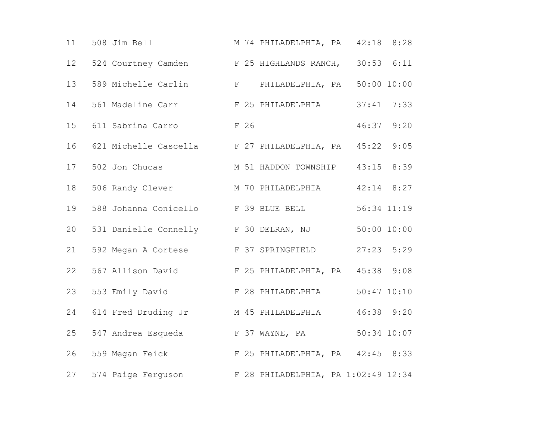| 11              | 508 Jim Bell                                           |  | M 74 PHILADELPHIA, PA 42:18 8:28 |                 |      |
|-----------------|--------------------------------------------------------|--|----------------------------------|-----------------|------|
| 12 <sup>°</sup> | 524 Courtney Camden                                    |  | F 25 HIGHLANDS RANCH, 30:53 6:11 |                 |      |
| 13              | 589 Michelle Carlin                                    |  | F PHILADELPHIA, PA 50:00 10:00   |                 |      |
| 14              | 561 Madeline Carr F 25 PHILADELPHIA 37:41 7:33         |  |                                  |                 |      |
| 15              | 611 Sabrina Carro<br>F 26                              |  |                                  | 46:37 9:20      |      |
| 16              | 621 Michelle Cascella F 27 PHILADELPHIA, PA 45:22      |  |                                  |                 | 9:05 |
| 17              | 502 Jon Chucas                                         |  | M 51 HADDON TOWNSHIP 43:15       |                 | 8:39 |
| 18              | 506 Randy Clever M 70 PHILADELPHIA 42:14 8:27          |  |                                  |                 |      |
| 19              | 588 Johanna Conicello F 39 BLUE BELL                   |  |                                  | 56:34 11:19     |      |
| 20              | 531 Danielle Connelly F 30 DELRAN, NJ                  |  |                                  | 50:00 10:00     |      |
| 21              | 592 Megan A Cortese F 37 SPRINGFIELD                   |  |                                  | $27:23$ 5:29    |      |
| 22              | 567 Allison David F 25 PHILADELPHIA, PA 45:38 9:08     |  |                                  |                 |      |
| 23              | 553 Emily David F 28 PHILADELPHIA                      |  |                                  | $50:47$ $10:10$ |      |
| 24              | 614 Fred Druding Jr M 45 PHILADELPHIA                  |  |                                  | 46:38 9:20      |      |
| 25              | 547 Andrea Esqueda F 37 WAYNE, PA                      |  |                                  | 50:34 10:07     |      |
| 26              | 559 Megan Feick F 25 PHILADELPHIA, PA 42:45 8:33       |  |                                  |                 |      |
| 27              | 574 Paige Ferguson F 28 PHILADELPHIA, PA 1:02:49 12:34 |  |                                  |                 |      |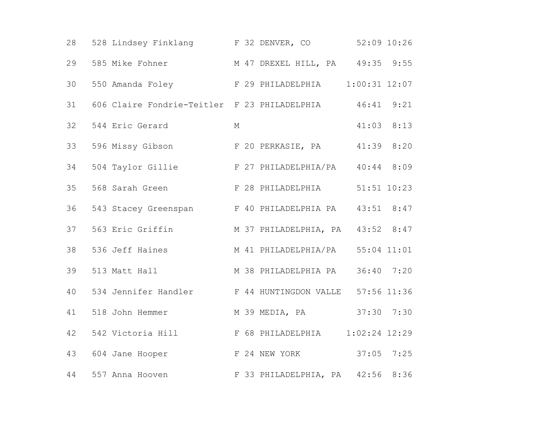| 28 | 528 Lindsey Finklang F 32 DENVER, CO                    |   |                                  | $52:09$ $10:26$ |      |
|----|---------------------------------------------------------|---|----------------------------------|-----------------|------|
| 29 | 585 Mike Fohner M 47 DREXEL HILL, PA 49:35 9:55         |   |                                  |                 |      |
| 30 | 550 Amanda Foley T 29 PHILADELPHIA                      |   |                                  | $1:00:31$ 12:07 |      |
| 31 | 606 Claire Fondrie-Teitler F 23 PHILADELPHIA 46:41 9:21 |   |                                  |                 |      |
| 32 | 544 Eric Gerard                                         | М |                                  | $41:03$ $8:13$  |      |
| 33 | 596 Missy Gibson F 20 PERKASIE, PA 41:39 8:20           |   |                                  |                 |      |
| 34 | 504 Taylor Gillie F 27 PHILADELPHIA/PA 40:44 8:09       |   |                                  |                 |      |
| 35 | 568 Sarah Green F 28 PHILADELPHIA 51:51 10:23           |   |                                  |                 |      |
| 36 | 543 Stacey Greenspan F 40 PHILADELPHIA PA 43:51 8:47    |   |                                  |                 |      |
| 37 | 563 Eric Griffin M 37 PHILADELPHIA, PA 43:52 8:47       |   |                                  |                 |      |
| 38 | 536 Jeff Haines                                         |   | M 41 PHILADELPHIA/PA 55:04 11:01 |                 |      |
| 39 | 513 Matt Hall M 38 PHILADELPHIA PA 36:40 7:20           |   |                                  |                 |      |
| 40 | 534 Jennifer Handler F 44 HUNTINGDON VALLE 57:56 11:36  |   |                                  |                 |      |
| 41 | 518 John Hemmer                                         |   | M 39 MEDIA, PA 37:30 7:30        |                 |      |
| 42 | 542 Victoria Hill F 68 PHILADELPHIA                     |   |                                  | $1:02:24$ 12:29 |      |
| 43 | 604 Jane Hooper                                         |   | F 24 NEW YORK 37:05 7:25         |                 |      |
| 44 | 557 Anna Hooven                                         |   | F 33 PHILADELPHIA, PA 42:56      |                 | 8:36 |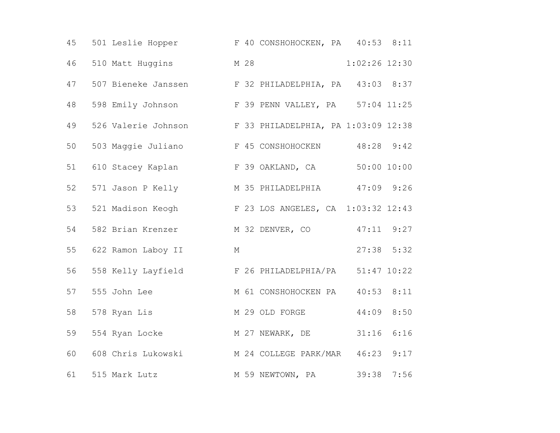| 45 | 501 Leslie Hopper F 40 CONSHOHOCKEN, PA 40:53 8:11      |  |                        |                 |      |
|----|---------------------------------------------------------|--|------------------------|-----------------|------|
| 46 | 510 Matt Huggins M 28                                   |  |                        | $1:02:26$ 12:30 |      |
| 47 | 507 Bieneke Janssen F 32 PHILADELPHIA, PA 43:03 8:37    |  |                        |                 |      |
| 48 | 598 Emily Johnson F 39 PENN VALLEY, PA 57:04 11:25      |  |                        |                 |      |
| 49 | 526 Valerie Johnson F 33 PHILADELPHIA, PA 1:03:09 12:38 |  |                        |                 |      |
| 50 | 503 Maggie Juliano F 45 CONSHOHOCKEN 48:28 9:42         |  |                        |                 |      |
| 51 | 610 Stacey Kaplan F 39 OAKLAND, CA 50:00 10:00          |  |                        |                 |      |
| 52 | 571 Jason P Kelly M 35 PHILADELPHIA 47:09 9:26          |  |                        |                 |      |
| 53 | 521 Madison Keogh F 23 LOS ANGELES, CA 1:03:32 12:43    |  |                        |                 |      |
| 54 | 582 Brian Krenzer M 32 DENVER, CO                       |  |                        | $47:11$ $9:27$  |      |
| 55 | 622 Ramon Laboy II<br><b>M</b>                          |  |                        | $27:38$ 5:32    |      |
| 56 | 558 Kelly Layfield F 26 PHILADELPHIA/PA 51:47 10:22     |  |                        |                 |      |
| 57 | 555 John Lee                                            |  | M 61 CONSHOHOCKEN PA   | $40:53$ $8:11$  |      |
| 58 | 578 Ryan Lis                                            |  | M 29 OLD FORGE         | 44:09 8:50      |      |
| 59 | 554 Ryan Locke M 27 NEWARK, DE                          |  |                        | 31:16           | 6:16 |
| 60 | 608 Chris Lukowski M 24 COLLEGE PARK/MAR 46:23 9:17     |  |                        |                 |      |
| 61 | 515 Mark Lutz                                           |  | M 59 NEWTOWN, PA 39:38 |                 | 7:56 |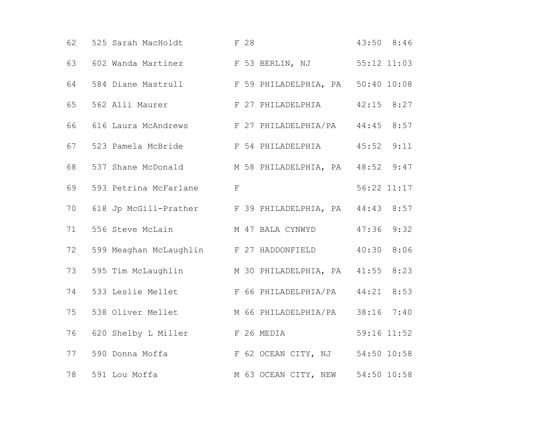| 62 | 525 Sarah MacHoldt F 28                                |  |                                  |                | 43:50 8:46  |
|----|--------------------------------------------------------|--|----------------------------------|----------------|-------------|
| 63 | 602 Wanda Martinez F 53 BERLIN, NJ 55:12 11:03         |  |                                  |                |             |
| 64 | 584 Diane Mastrull F 59 PHILADELPHIA, PA 50:40 10:08   |  |                                  |                |             |
| 65 | 562 Alli Maurer F 27 PHILADELPHIA                      |  |                                  | $42:15$ $8:27$ |             |
| 66 | 616 Laura McAndrews F 27 PHILADELPHIA/PA 44:45 8:57    |  |                                  |                |             |
| 67 | 523 Pamela McBride 6 F 54 PHILADELPHIA                 |  |                                  | 45:52          | 9:11        |
| 68 | 537 Shane McDonald M 58 PHILADELPHIA, PA 48:52 9:47    |  |                                  |                |             |
| 69 | 593 Petrina McFarlane F                                |  |                                  |                | 56:22 11:17 |
| 70 | 618 Jp McGill-Prather F 39 PHILADELPHIA, PA 44:43 8:57 |  |                                  |                |             |
| 71 | 556 Steve McLain M 47 BALA CYNWYD                      |  |                                  | 47:36          | 9:32        |
| 72 | 599 Meaghan McLaughlin F 27 HADDONFIELD                |  |                                  | 40:30          | 8:06        |
| 73 | 595 Tim McLaughlin M 30 PHILADELPHIA, PA 41:55         |  |                                  |                | 8:23        |
| 74 | 533 Leslie Mellet F 66 PHILADELPHIA/PA 44:21 8:53      |  |                                  |                |             |
| 75 | 538 Oliver Mellet M 66 PHILADELPHIA/PA 38:16 7:40      |  |                                  |                |             |
| 76 | 620 Shelby L Miller F 26 MEDIA                         |  |                                  | 59:16 11:52    |             |
| 77 | 590 Donna Moffa (F 62 OCEAN CITY, NJ 54:50 10:58       |  |                                  |                |             |
| 78 | 591 Lou Moffa                                          |  | M 63 OCEAN CITY, NEW 54:50 10:58 |                |             |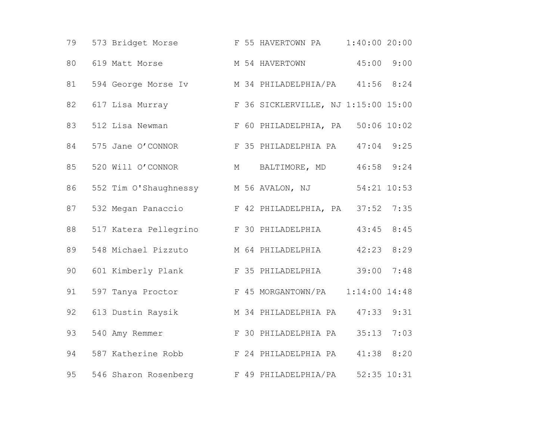| 79 | 573 Bridget Morse F 55 HAVERTOWN PA                 |  |                                   | $1:40:00$ 20:00 |      |
|----|-----------------------------------------------------|--|-----------------------------------|-----------------|------|
| 80 | 619 Matt Morse                                      |  | M 54 HAVERTOWN 45:00 9:00         |                 |      |
| 81 | 594 George Morse Iv M 34 PHILADELPHIA/PA 41:56 8:24 |  |                                   |                 |      |
| 82 | 617 Lisa Murray F 36 SICKLERVILLE, NJ 1:15:00 15:00 |  |                                   |                 |      |
| 83 | 512 Lisa Newman                                     |  | F 60 PHILADELPHIA, PA 50:06 10:02 |                 |      |
| 84 | 575 Jane O'CONNOR                                   |  | F 35 PHILADELPHIA PA              | $47:04$ 9:25    |      |
| 85 | 520 Will O'CONNOR                                   |  | M BALTIMORE, MD                   | $46:58$ $9:24$  |      |
| 86 | 552 Tim O'Shaughnessy M 56 AVALON, NJ 54:21 10:53   |  |                                   |                 |      |
| 87 | 532 Megan Panaccio F 42 PHILADELPHIA, PA 37:52      |  |                                   |                 | 7:35 |
| 88 | 517 Katera Pellegrino F 30 PHILADELPHIA             |  |                                   | 43:45           | 8:45 |
| 89 | 548 Michael Pizzuto M 64 PHILADELPHIA               |  |                                   | 42:23           | 8:29 |
| 90 | 601 Kimberly Plank F 35 PHILADELPHIA 39:00          |  |                                   |                 | 7:48 |
| 91 | 597 Tanya Proctor                                   |  |                                   |                 |      |
| 92 | 613 Dustin Raysik M 34 PHILADELPHIA PA              |  |                                   | 47:33           | 9:31 |
| 93 | 540 Amy Remmer F 30 PHILADELPHIA PA                 |  |                                   | 35:13           | 7:03 |
| 94 | 587 Katherine Robb                                  |  | F 24 PHILADELPHIA PA 41:38 8:20   |                 |      |
| 95 | 546 Sharon Rosenberg F 49 PHILADELPHIA/PA           |  |                                   | $52:35$ $10:31$ |      |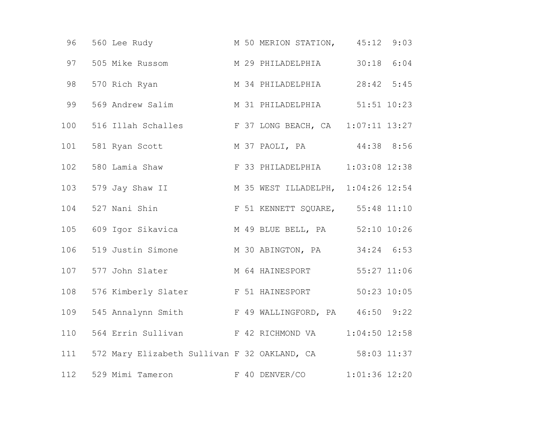| 96  | 560 Lee Rudy                                             |  | M 50 MERION STATION, 45:12 9:03  |                 |  |
|-----|----------------------------------------------------------|--|----------------------------------|-----------------|--|
| 97  | 505 Mike Russom M 29 PHILADELPHIA 30:18 6:04             |  |                                  |                 |  |
| 98  | 570 Rich Ryan                                            |  | M 34 PHILADELPHIA 28:42 5:45     |                 |  |
| 99  | 569 Andrew Salim M 31 PHILADELPHIA 51:51 10:23           |  |                                  |                 |  |
|     | 100 516 Illah Schalles F 37 LONG BEACH, CA 1:07:11 13:27 |  |                                  |                 |  |
| 101 | 581 Ryan Scott                                           |  | M 37 PAOLI, PA 44:38 8:56        |                 |  |
| 102 | 580 Lamia Shaw                                           |  | F 33 PHILADELPHIA                | $1:03:08$ 12:38 |  |
| 103 | 579 Jay Shaw II M 35 WEST ILLADELPH, 1:04:26 12:54       |  |                                  |                 |  |
|     | 104 527 Nani Shin                                        |  | F 51 KENNETT SQUARE, 55:48 11:10 |                 |  |
|     | 105 609 Igor Sikavica M 49 BLUE BELL, PA 52:10 10:26     |  |                                  |                 |  |
| 106 | 519 Justin Simone M 30 ABINGTON, PA 34:24 6:53           |  |                                  |                 |  |
| 107 | 577 John Slater                                          |  | M 64 HAINESPORT                  | 55:27 11:06     |  |
|     | 108 576 Kimberly Slater F 51 HAINESPORT                  |  |                                  | $50:23$ $10:05$ |  |
| 109 | 545 Annalynn Smith F 49 WALLINGFORD, PA 46:50 9:22       |  |                                  |                 |  |
| 110 | 564 Errin Sullivan F 42 RICHMOND VA                      |  |                                  | $1:04:50$ 12:58 |  |
| 111 | 572 Mary Elizabeth Sullivan F 32 OAKLAND, CA 58:03 11:37 |  |                                  |                 |  |
|     | 112 529 Mimi Tameron F 40 DENVER/CO 1:01:36 12:20        |  |                                  |                 |  |